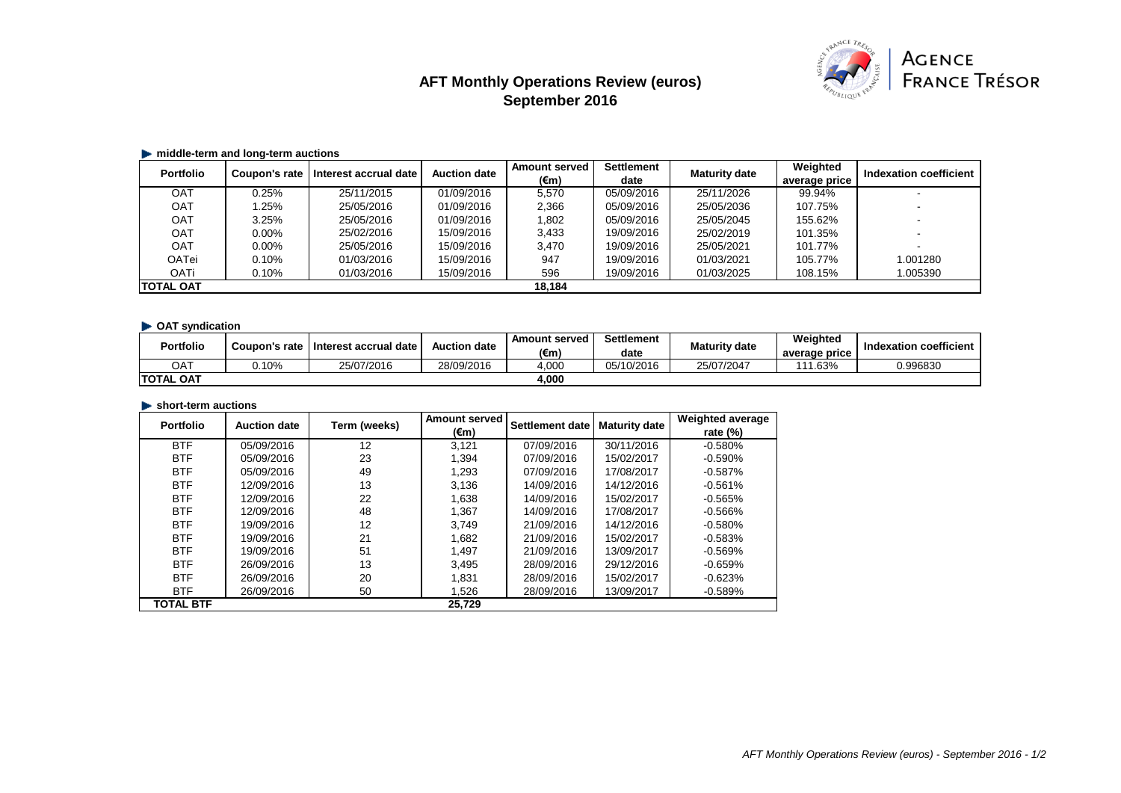# **AFT Monthly Operations Review (euros) September 2016**



#### **middle-term and long-term auctions**

| <b>Portfolio</b> | Coupon's rate | Interest accrual date | <b>Auction date</b> | <b>Amount served</b> | <b>Settlement</b> | <b>Maturity date</b> | Weighted      | Indexation coefficient |
|------------------|---------------|-----------------------|---------------------|----------------------|-------------------|----------------------|---------------|------------------------|
|                  |               |                       |                     | $(\epsilon m)$       | date              |                      | average price |                        |
| OAT              | 0.25%         | 25/11/2015            | 01/09/2016          | 5,570                | 05/09/2016        | 25/11/2026           | 99.94%        |                        |
| <b>OAT</b>       | .25%          | 25/05/2016            | 01/09/2016          | 2,366                | 05/09/2016        | 25/05/2036           | 107.75%       |                        |
| <b>OAT</b>       | 3.25%         | 25/05/2016            | 01/09/2016          | 1,802                | 05/09/2016        | 25/05/2045           | 155.62%       |                        |
| <b>OAT</b>       | $0.00\%$      | 25/02/2016            | 15/09/2016          | 3,433                | 19/09/2016        | 25/02/2019           | 101.35%       |                        |
| <b>OAT</b>       | $0.00\%$      | 25/05/2016            | 15/09/2016          | 3,470                | 19/09/2016        | 25/05/2021           | 101.77%       |                        |
| <b>OATei</b>     | 0.10%         | 01/03/2016            | 15/09/2016          | 947                  | 19/09/2016        | 01/03/2021           | 105.77%       | 1.001280               |
| <b>OATi</b>      | 0.10%         | 01/03/2016            | 15/09/2016          | 596                  | 19/09/2016        | 01/03/2025           | 108.15%       | 1.005390               |
| <b>TOTAL OAT</b> |               |                       |                     | 18,184               |                   |                      |               |                        |

### **• OAT syndication**

| <b>Portfolio</b>  | Coupon's rate | Interest accrual date | Auction date | <b>Amount served</b><br>$(\epsilon m)$ | <b>Settlement</b><br>date | <b>Maturity date</b> | Weighted<br>average price | Indexation coefficient |
|-------------------|---------------|-----------------------|--------------|----------------------------------------|---------------------------|----------------------|---------------------------|------------------------|
| TAC               | 0.10%         | 25/07/2016            | 28/09/2016   | 4,000                                  | 05/10/2016                | 25/07/2047           | 111.63%                   | 0.996830               |
| <b>ITOTAL OAT</b> |               |                       |              | 4,000                                  |                           |                      |                           |                        |

#### **short-term auctions**

| <b>Portfolio</b> | <b>Auction date</b> | Term (weeks) | <b>Amount served</b> | <b>Settlement date</b> | <b>Maturity date</b> | <b>Weighted average</b> |
|------------------|---------------------|--------------|----------------------|------------------------|----------------------|-------------------------|
|                  |                     |              | $(\epsilon m)$       |                        |                      | rate $(\%)$             |
| <b>BTF</b>       | 05/09/2016          | 12           | 3,121                | 07/09/2016             | 30/11/2016           | $-0.580%$               |
| <b>BTF</b>       | 05/09/2016          | 23           | 1,394                | 07/09/2016             | 15/02/2017           | $-0.590%$               |
| <b>BTF</b>       | 05/09/2016          | 49           | 1,293                | 07/09/2016             | 17/08/2017           | $-0.587%$               |
| <b>BTF</b>       | 12/09/2016          | 13           | 3,136                | 14/09/2016             | 14/12/2016           | $-0.561%$               |
| <b>BTF</b>       | 12/09/2016          | 22           | 1,638                | 14/09/2016             | 15/02/2017           | $-0.565\%$              |
| <b>BTF</b>       | 12/09/2016          | 48           | 1,367                | 14/09/2016             | 17/08/2017           | $-0.566%$               |
| <b>BTF</b>       | 19/09/2016          | 12           | 3,749                | 21/09/2016             | 14/12/2016           | $-0.580%$               |
| <b>BTF</b>       | 19/09/2016          | 21           | 1,682                | 21/09/2016             | 15/02/2017           | $-0.583%$               |
| <b>BTF</b>       | 19/09/2016          | 51           | 1,497                | 21/09/2016             | 13/09/2017           | $-0.569%$               |
| <b>BTF</b>       | 26/09/2016          | 13           | 3.495                | 28/09/2016             | 29/12/2016           | $-0.659%$               |
| <b>BTF</b>       | 26/09/2016          | 20           | 1,831                | 28/09/2016             | 15/02/2017           | $-0.623%$               |
| <b>BTF</b>       | 26/09/2016          | 50           | 1,526                | 28/09/2016             | 13/09/2017           | $-0.589%$               |
| <b>TOTAL BTF</b> |                     |              | 25,729               |                        |                      |                         |